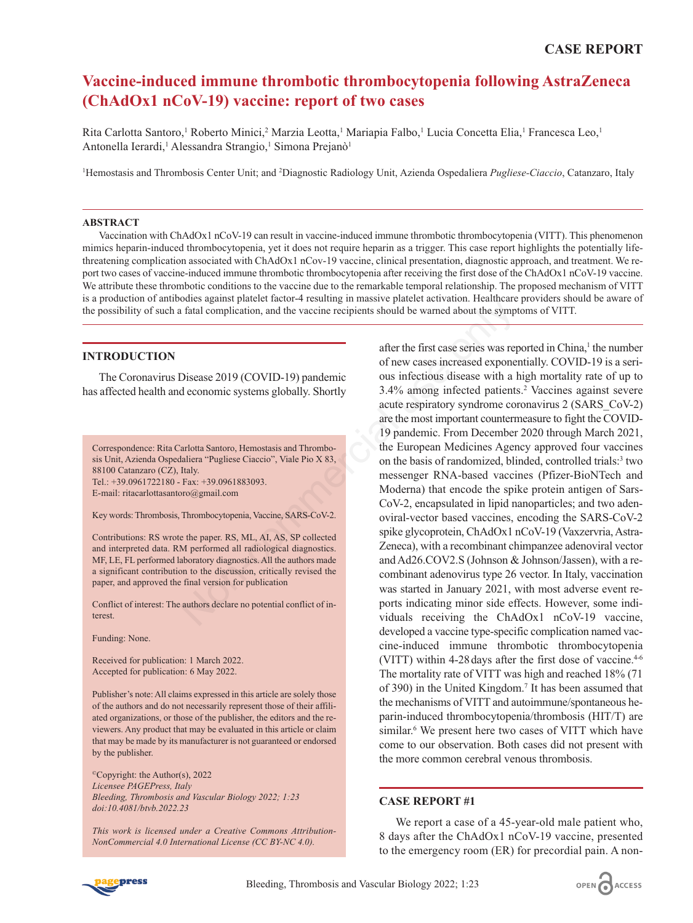# **Vaccine-induced immune thrombotic thrombocytopenia following AstraZeneca (ChAdOx1 nCoV-19) vaccine: report of two cases**

Rita Carlotta Santoro,<sup>1</sup> Roberto Minici,<sup>2</sup> Marzia Leotta,<sup>1</sup> Mariapia Falbo,<sup>1</sup> Lucia Concetta Elia,<sup>1</sup> Francesca Leo,<sup>1</sup> Antonella Ierardi,<sup>1</sup> Alessandra Strangio,<sup>1</sup> Simona Prejanò<sup>1</sup>

<sup>1</sup>Hemostasis and Thrombosis Center Unit; and <sup>2</sup>Diagnostic Radiology Unit, Azienda Ospedaliera *Pugliese-Ciaccio*, Catanzaro, Italy

#### **ABSTRACT**

Vaccination with ChAdOx1 nCoV-19 can result in vaccine-induced immune thrombotic thrombocytopenia (VITT). This phenomenon mimics heparin-induced thrombocytopenia, yet it does not require heparin as a trigger. This case report highlights the potentially lifethreatening complication associated with ChAdOx1 nCov-19 vaccine, clinical presentation, diagnostic approach, and treatment. We report two cases of vaccine-induced immune thrombotic thrombocytopenia after receiving the first dose of the ChAdOx1 nCoV-19 vaccine. We attribute these thrombotic conditions to the vaccine due to the remarkable temporal relationship. The proposed mechanism of VITT is a production of antibodies against platelet factor-4 resulting in massive platelet activation. Healthcare providers should be aware of the possibility of such a fatal complication, and the vaccine recipients should be warned about the symptoms of VITT.

## **INTRODUCTION**

The Coronavirus Disease 2019 (COVID-19) pandemic has affected health and economic systems globally. Shortly

Correspondence: Rita Carlotta Santoro, Hemostasis and Thrombosis Unit, Azienda Ospedaliera "Pugliese Ciaccio", Viale Pio X 83, 88100 Catanzaro (CZ), Italy. Tel.: +39.0961722180 - Fax: +39.0961883093.

E-mail: ritacarlottasantoro@gmail.com

Key words: Thrombosis, Thrombocytopenia, Vaccine, SARS-CoV-2.

Contributions: RS wrote the paper. RS, ML, AI, AS, SP collected and interpreted data. RM performed all radiological diagnostics. MF, LE, FL performed laboratory diagnostics. All the authors made a significant contribution to the discussion, critically revised the paper, and approved the final version for publication

Conflict of interest: The authors declare no potential conflict of interest.

Funding: None.

Received for publication: 1 March 2022. Accepted for publication: 6 May 2022.

Publisher's note: All claims expressed in this article are solely those of the authors and do not necessarily represent those of their affiliated organizations, or those of the publisher, the editors and the reviewers. Any product that may be evaluated in this article or claim that may be made by its manufacturer is not guaranteed or endorsed by the publisher.

©Copyright: the Author(s), 2022 *Licensee PAGEPress, Italy Bleeding, Thrombosis and Vascular Biology 2022; 1:23 doi:10.4081/btvb.2022.23*

*This work is licensed under a Creative Commons Attribution-NonCommercial 4.0 International License (CC BY-NC 4.0).*

after the first case series was reported in China,<sup>1</sup> the number of new cases increased exponentially. COVID-19 is a serious infectious disease with a high mortality rate of up to 3.4% among infected patients.2 Vaccines against severe acute respiratory syndrome coronavirus 2 (SARS\_CoV-2) are the most important countermeasure to fight the COVID-19 pandemic. From December 2020 through March 2021, the European Medicines Agency approved four vaccines on the basis of randomized, blinded, controlled trials:<sup>3</sup> two messenger RNA-based vaccines (Pfizer-BioNTech and Moderna) that encode the spike protein antigen of Sars-CoV-2, encapsulated in lipid nanoparticles; and two adenoviral-vector based vaccines, encoding the SARS-CoV-2 spike glycoprotein, ChAdOx1 nCoV-19 (Vaxzervria, Astra-Zeneca), with a recombinant chimpanzee adenoviral vector and Ad26.COV2.S (Johnson & Johnson/Jassen), with a recombinant adenovirus type 26 vector. In Italy, vaccination was started in January 2021, with most adverse event reports indicating minor side effects. However, some individuals receiving the ChAdOx1 nCoV-19 vaccine, developed a vaccine type-specific complication named vaccine-induced immune thrombotic thrombocytopenia (VITT) within 4-28 days after the first dose of vaccine.4-6 The mortality rate of VITT was high and reached 18% (71 of 390) in the United Kingdom.7 It has been assumed that the mechanisms of VITT and autoimmune/spontaneous heparin-induced thrombocytopenia/thrombosis (HIT/T) are similar.6 We present here two cases of VITT which have come to our observation. Both cases did not present with the more common cerebral venous thrombosis. Solution, and the vaccine recipients should be warned about the symptom<br>
That al complication, and the vaccine recipients should be warned about the symptometric actoric experience recipients should be warned about the sym

#### **CASE REPORT #1**

We report a case of a 45-year-old male patient who, 8 days after the ChAdOx1 nCoV-19 vaccine, presented to the emergency room (ER) for precordial pain. A non-

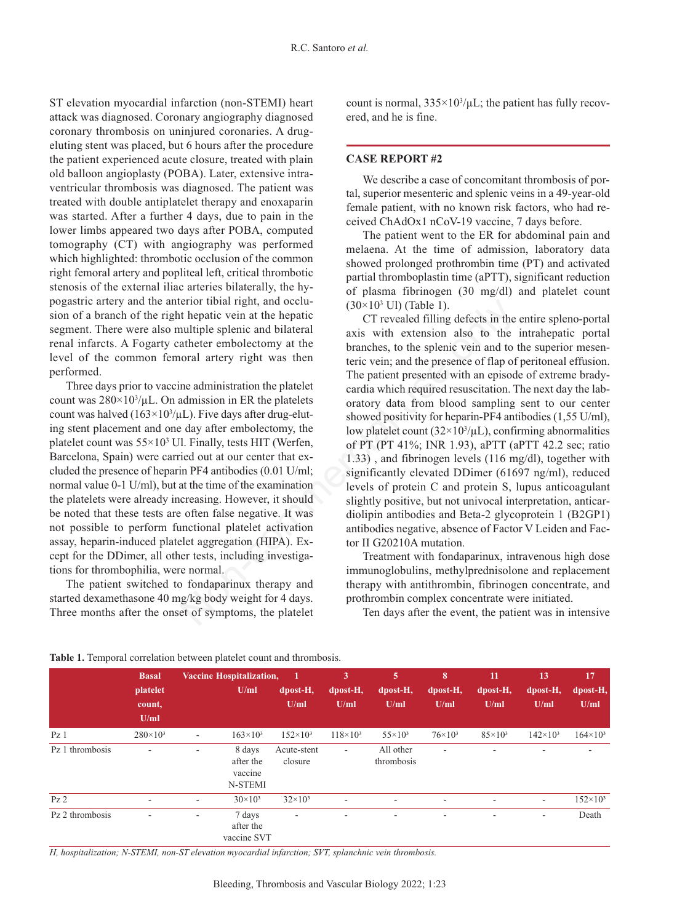ST elevation myocardial infarction (non-STEMI) heart attack was diagnosed. Coronary angiography diagnosed coronary thrombosis on uninjured coronaries. A drugeluting stent was placed, but 6 hours after the procedure the patient experienced acute closure, treated with plain old balloon angioplasty (POBA). Later, extensive intraventricular thrombosis was diagnosed. The patient was treated with double antiplatelet therapy and enoxaparin was started. After a further 4 days, due to pain in the lower limbs appeared two days after POBA, computed tomography (CT) with angiography was performed which highlighted: thrombotic occlusion of the common right femoral artery and popliteal left, critical thrombotic stenosis of the external iliac arteries bilaterally, the hypogastric artery and the anterior tibial right, and occlusion of a branch of the right hepatic vein at the hepatic segment. There were also multiple splenic and bilateral renal infarcts. A Fogarty catheter embolectomy at the level of the common femoral artery right was then performed.

Three days prior to vaccine administration the platelet count was  $280 \times 10^3/\mu L$ . On admission in ER the platelets count was halved  $(163\times10^3/\mu L)$ . Five days after drug-eluting stent placement and one day after embolectomy, the platelet count was  $55 \times 10^3$  Ul. Finally, tests HIT (Werfen, Barcelona, Spain) were carried out at our center that excluded the presence of heparin PF4 antibodies (0.01 U/ml; normal value 0-1 U/ml), but at the time of the examination the platelets were already increasing. However, it should be noted that these tests are often false negative. It was not possible to perform functional platelet activation assay, heparin-induced platelet aggregation (HIPA). Except for the DDimer, all other tests, including investigations for thrombophilia, were normal.

The patient switched to fondaparinux therapy and started dexamethasone 40 mg/kg body weight for 4 days. Three months after the onset of symptoms, the platelet count is normal,  $335 \times 10^3/\mu$ L; the patient has fully recovered, and he is fine.

## **CASE REPORT #2**

We describe a case of concomitant thrombosis of portal, superior mesenteric and splenic veins in a 49-year-old female patient, with no known risk factors, who had received ChAdOx1 nCoV-19 vaccine, 7 days before.

The patient went to the ER for abdominal pain and melaena. At the time of admission, laboratory data showed prolonged prothrombin time (PT) and activated partial thromboplastin time (aPTT), significant reduction of plasma fibrinogen (30 mg/dl) and platelet count  $(30\times10^{3} \text{ Ul})$  (Table 1).

CT revealed filling defects in the entire spleno-portal axis with extension also to the intrahepatic portal branches, to the splenic vein and to the superior mesenteric vein; and the presence of flap of peritoneal effusion. The patient presented with an episode of extreme bradycardia which required resuscitation. The next day the laboratory data from blood sampling sent to our center showed positivity for heparin-PF4 antibodies (1,55 U/ml), low platelet count  $(32\times10^3/\mu L)$ , confirming abnormalities of PT (PT 41%; INR 1.93), aPTT (aPTT 42.2 sec; ratio 1.33) , and fibrinogen levels (116 mg/dl), together with significantly elevated DDimer (61697 ng/ml), reduced levels of protein C and protein S, lupus anticoagulant slightly positive, but not univocal interpretation, anticardiolipin antibodies and Beta-2 glycoprotein 1 (B2GP1) antibodies negative, absence of Factor V Leiden and Factor II G20210A mutation. erior tibial right, and occluse<br>
the hepatic vein at the hepatic of Trevealed filling defects in the<br>
the pheric and bilateral<br>
axis with extension also to the<br>
athleter embolectomy at the<br>
the branches, to the splenic ve

Treatment with fondaparinux, intravenous high dose immunoglobulins, methylprednisolone and replacement therapy with antithrombin, fibrinogen concentrate, and prothrombin complex concentrate were initiated.

Ten days after the event, the patient was in intensive

|                 | <b>Basal</b>      |                          | <b>Vaccine Hospitalization,</b> |                   | 3<br>dpost-H,            | 57<br>dpost-H,   | 8<br>dpost-H,            | 11<br>$\Phi$ dpost-H, | 13<br>dpost-H,    | 17<br>dpost-H,      |
|-----------------|-------------------|--------------------------|---------------------------------|-------------------|--------------------------|------------------|--------------------------|-----------------------|-------------------|---------------------|
|                 | platelet          |                          | U/ml                            | dpost-H,          |                          |                  |                          |                       |                   |                     |
|                 | count,            |                          |                                 | U/ml              | U/ml                     | U/ml             | U/ml                     | U/ml                  | U/ml              | U/ml                |
|                 | U/ml              |                          |                                 |                   |                          |                  |                          |                       |                   |                     |
| PZ1             | $280 \times 10^3$ | $\overline{\phantom{a}}$ | $163 \times 10^{3}$             | $152\times10^{3}$ | $118 \times 10^{3}$      | $55 \times 10^3$ | $76\times10^3$           | $85\times10^3$        | $142 \times 10^3$ | $164 \times 10^{3}$ |
| Pz 1 thrombosis | ۰                 |                          | 8 days                          | Acute-stent       | $\overline{\phantom{a}}$ | All other        | $\overline{a}$           |                       |                   |                     |
|                 |                   |                          | after the                       | closure           |                          | thrombosis       |                          |                       |                   |                     |
|                 |                   |                          | vaccine                         |                   |                          |                  |                          |                       |                   |                     |
|                 |                   |                          | N-STEMI                         |                   |                          |                  |                          |                       |                   |                     |
| PZ2             | ۰                 | $\overline{\phantom{a}}$ | $30 \times 10^{3}$              | $32\times10^3$    | $\overline{\phantom{a}}$ |                  | $\overline{\phantom{a}}$ | ٠                     | ۰.                | $152\times10^{3}$   |
| Pz 2 thrombosis | ٠                 | $\overline{\phantom{a}}$ | 7 days                          | ۰.                | ۰                        | ۰                | $\overline{\phantom{a}}$ | ٠                     | ۰.                | Death               |
|                 |                   |                          | after the                       |                   |                          |                  |                          |                       |                   |                     |
|                 |                   |                          | vaccine SVT                     |                   |                          |                  |                          |                       |                   |                     |

#### **Table 1.** Temporal correlation between platelet count and thrombosis.

*H, hospitalization; N-STEMI, non-ST elevation myocardial infarction; SVT, splanchnic vein thrombosis.*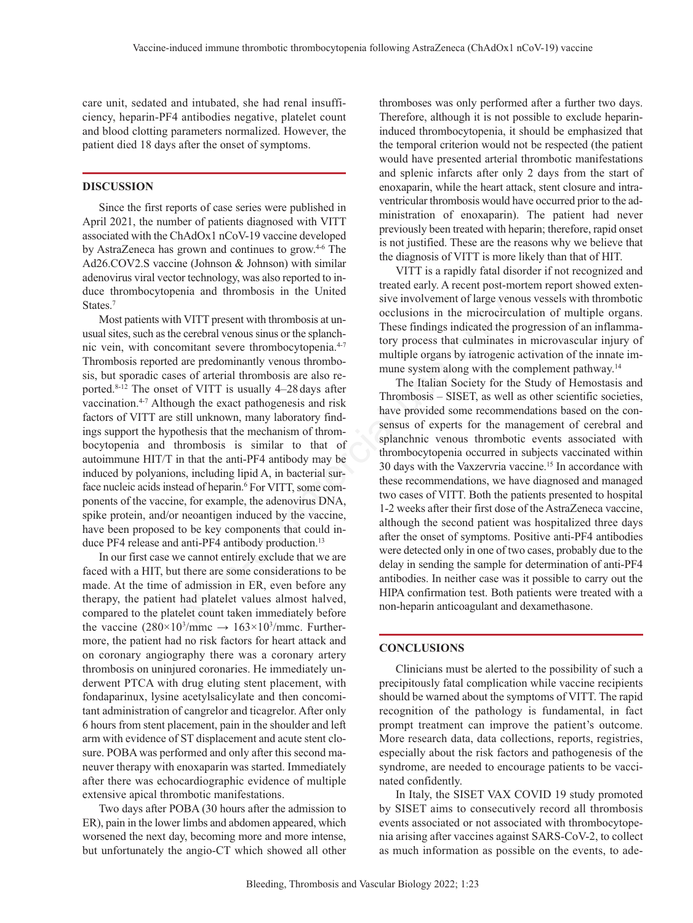care unit, sedated and intubated, she had renal insufficiency, heparin-PF4 antibodies negative, platelet count and blood clotting parameters normalized. However, the patient died 18 days after the onset of symptoms.

#### **DISCUSSION**

Since the first reports of case series were published in April 2021, the number of patients diagnosed with VITT associated with the ChAdOx1 nCoV-19 vaccine developed by AstraZeneca has grown and continues to grow.<sup>4-6</sup> The Ad26.COV2.S vaccine (Johnson & Johnson) with similar adenovirus viral vector technology, was also reported to induce thrombocytopenia and thrombosis in the United States.<sup>7</sup>

Most patients with VITT present with thrombosis at unusual sites, such as the cerebral venous sinus or the splanchnic vein, with concomitant severe thrombocytopenia.4-7 Thrombosis reported are predominantly venous thrombosis, but sporadic cases of arterial thrombosis are also reported.8-12 The onset of VITT is usually 4–28 days after vaccination.4-7 Although the exact pathogenesis and risk factors of VITT are still unknown, many laboratory findings support the hypothesis that the mechanism of thrombocytopenia and thrombosis is similar to that of autoimmune HIT/T in that the anti-PF4 antibody may be induced by polyanions, including lipid A, in bacterial surface nucleic acids instead of heparin.<sup>6</sup> For VITT, some components of the vaccine, for example, the adenovirus DNA, spike protein, and/or neoantigen induced by the vaccine, have been proposed to be key components that could induce PF4 release and anti-PF4 antibody production.<sup>13</sup> NTT present with thrombosis at uncertaining were colusions in the microcircu<br>
cerebral venous sinus or the splanch-<br>
These findings indicated the p<br>
minitant severe thrombocytopenia.<sup>4,7</sup><br>
are predominantly venous thrombo-

In our first case we cannot entirely exclude that we are faced with a HIT, but there are some considerations to be made. At the time of admission in ER, even before any therapy, the patient had platelet values almost halved, compared to the platelet count taken immediately before the vaccine  $(280 \times 10^3/\text{mmc} \rightarrow 163 \times 10^3/\text{mmc}$ . Furthermore, the patient had no risk factors for heart attack and on coronary angiography there was a coronary artery thrombosis on uninjured coronaries. He immediately underwent PTCA with drug eluting stent placement, with fondaparinux, lysine acetylsalicylate and then concomitant administration of cangrelor and ticagrelor. After only 6 hours from stent placement, pain in the shoulder and left arm with evidence of ST displacement and acute stent closure. POBA was performed and only after this second maneuver therapy with enoxaparin was started. Immediately after there was echocardiographic evidence of multiple extensive apical thrombotic manifestations.

Two days after POBA (30 hours after the admission to ER), pain in the lower limbs and abdomen appeared, which worsened the next day, becoming more and more intense, but unfortunately the angio-CT which showed all other

thromboses was only performed after a further two days. Therefore, although it is not possible to exclude heparininduced thrombocytopenia, it should be emphasized that the temporal criterion would not be respected (the patient would have presented arterial thrombotic manifestations and splenic infarcts after only 2 days from the start of enoxaparin, while the heart attack, stent closure and intraventricular thrombosis would have occurred prior to the administration of enoxaparin). The patient had never previously been treated with heparin; therefore, rapid onset is not justified. These are the reasons why we believe that the diagnosis of VITT is more likely than that of HIT.

VITT is a rapidly fatal disorder if not recognized and treated early. A recent post-mortem report showed extensive involvement of large venous vessels with thrombotic occlusions in the microcirculation of multiple organs. These findings indicated the progression of an inflammatory process that culminates in microvascular injury of multiple organs by iatrogenic activation of the innate immune system along with the complement pathway.<sup>14</sup>

The Italian Society for the Study of Hemostasis and Thrombosis – SISET, as well as other scientific societies, have provided some recommendations based on the consensus of experts for the management of cerebral and splanchnic venous thrombotic events associated with thrombocytopenia occurred in subjects vaccinated within 30 days with the Vaxzervria vaccine.15 In accordance with these recommendations, we have diagnosed and managed two cases of VITT. Both the patients presented to hospital 1-2 weeks after their first dose of the AstraZeneca vaccine, although the second patient was hospitalized three days after the onset of symptoms. Positive anti-PF4 antibodies were detected only in one of two cases, probably due to the delay in sending the sample for determination of anti-PF4 antibodies. In neither case was it possible to carry out the HIPA confirmation test. Both patients were treated with a non-heparin anticoagulant and dexamethasone.

# **CONCLUSIONS**

Clinicians must be alerted to the possibility of such a precipitously fatal complication while vaccine recipients should be warned about the symptoms of VITT. The rapid recognition of the pathology is fundamental, in fact prompt treatment can improve the patient's outcome. More research data, data collections, reports, registries, especially about the risk factors and pathogenesis of the syndrome, are needed to encourage patients to be vaccinated confidently.

In Italy, the SISET VAX COVID 19 study promoted by SISET aims to consecutively record all thrombosis events associated or not associated with thrombocytopenia arising after vaccines against SARS-CoV-2, to collect as much information as possible on the events, to ade-